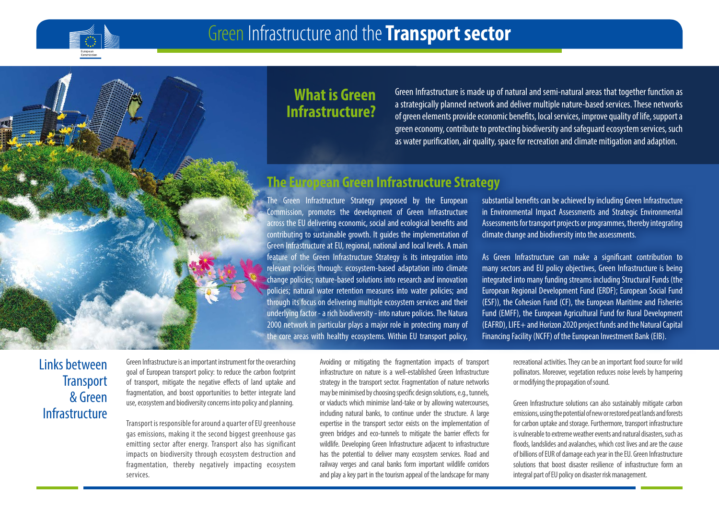

## **What is Green Infrastructure?**

Green Infrastructure is made up of natural and semi-natural areas that together function as a strategically planned network and deliver multiple nature-based services. These networks of green elements provide economic benefits, local services, improve quality of life, support a green economy, contribute to protecting biodiversity and safeguard ecosystem services, such as water purification, air quality, space for recreation and climate mitigation and adaption.

### **The European Green Infrastructure Strategy**

The Green Infrastructure Strategy proposed by the European Commission, promotes the development of Green Infrastructure across the EU delivering economic, social and ecological benefits and contributing to sustainable growth. It guides the implementation of Green Infrastructure at EU, regional, national and local levels. A main feature of the Green Infrastructure Strategy is its integration into relevant policies through: ecosystem-based adaptation into climate change policies; nature-based solutions into research and innovation policies; natural water retention measures into water policies; and through its focus on delivering multiple ecosystem services and their underlying factor - a rich biodiversity - into nature policies. The Natura 2000 network in particular plays a major role in protecting many of the core areas with healthy ecosystems. Within EU transport policy,

substantial benefits can be achieved by including Green Infrastructure in Environmental Impact Assessments and Strategic Environmental Assessments for transport projects or programmes, thereby integrating climate change and biodiversity into the assessments.

As Green Infrastructure can make a significant contribution to many sectors and EU policy objectives, Green Infrastructure is being integrated into many funding streams including Structural Funds (the European Regional Development Fund (ERDF); European Social Fund (ESF)), the Cohesion Fund (CF), the European Maritime and Fisheries Fund (EMFF), the European Agricultural Fund for Rural Development (EAFRD), LIFE+ and Horizon 2020 project funds and the Natural Capital Financing Facility (NCFF) of the European Investment Bank (EIB).

## Links between **Transport** & Green Infrastructure

Green Infrastructure is an important instrument for the overarching goal of European transport policy: to reduce the carbon footprint of transport, mitigate the negative effects of land uptake and fragmentation, and boost opportunities to better integrate land use, ecosystem and biodiversity concerns into policy and planning.

Transport is responsible for around a quarter of EU greenhouse gas emissions, making it the second biggest greenhouse gas emitting sector after energy. Transport also has significant impacts on biodiversity through ecosystem destruction and fragmentation, thereby negatively impacting ecosystem services.

Avoiding or mitigating the fragmentation impacts of transport infrastructure on nature is a well-established Green Infrastructure strategy in the transport sector. Fragmentation of nature networks may be minimised by choosing specific design solutions, e.g., tunnels, or viaducts which minimise land-take or by allowing watercourses, including natural banks, to continue under the structure. A large expertise in the transport sector exists on the implementation of green bridges and eco-tunnels to mitigate the barrier effects for wildlife. Developing Green Infrastructure adjacent to infrastructure has the potential to deliver many ecosystem services. Road and railway verges and canal banks form important wildlife corridors and play a key part in the tourism appeal of the landscape for many

recreational activities. They can be an important food source for wild pollinators. Moreover, vegetation reduces noise levels by hampering or modifying the propagation of sound.

Green Infrastructure solutions can also sustainably mitigate carbon emissions, using the potential of new or restored peat lands and forests for carbon uptake and storage. Furthermore, transport infrastructure is vulnerable to extreme weather events and natural disasters, such as floods, landslides and avalanches, which cost lives and are the cause of billions of EUR of damage each year in the EU. Green Infrastructure solutions that boost disaster resilience of infrastructure form an integral part of EU policy on disaster risk management.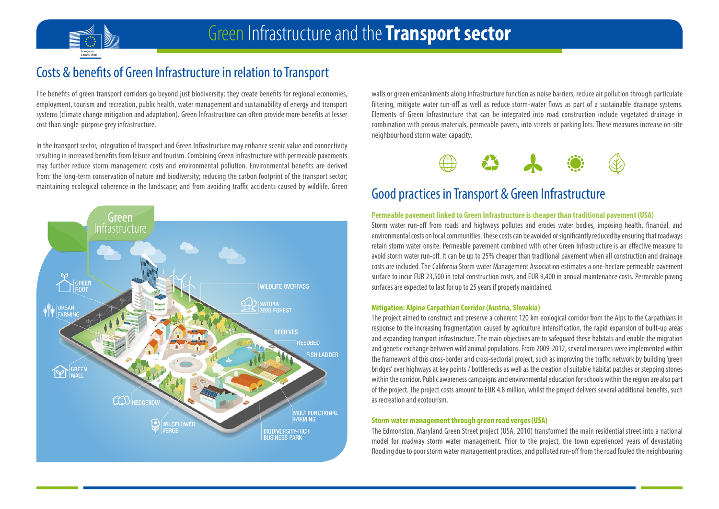

# Costs & benefits of Green Infrastructure in relation to Transport

The benefits of green transport corridors go beyond just biodiversity; they create benefits for regional economies, employment, tourism and recreation, public health, water management and sustainability of energy and transport systems (climate change mitigation and adaptation). Green Infrastructure can often provide more benefits at lesser cost than single-purpose grey infrastructure.

In the transport sector, integration of transport and Green Infrastructure may enhance scenic value and connectivity resulting in increased benefits from leisure and tourism. Combining Green Infrastructure with permeable pavements may further reduce storm management costs and environmental pollution. Environmental benefits are derived from: the long-term conservation of nature and biodiversity; reducing the carbon footprint of the transport sector; maintaining ecological coherence in the landscape; and from avoiding traffic accidents caused by wildlife. Green



walls or green embankments along infrastructure function as noise barriers, reduce air pollution through particulate filtering, mitigate water run-off as well as reduce storm-water flows as part of a sustainable drainage systems. Elements of Green Infrastructure that can be integrated into road construction include vegetated drainage in combination with porous materials, permeable pavers, into streets or parking lots. These measures increase on-site neighbourhood storm water capacity.



# Good practices in Transport & Green Infrastructure

#### **Permeable pavement linked to Green Infrastructure is cheaper than traditional pavement (USA)**

Storm water run-off from roads and highways pollutes and erodes water bodies, imposing health, financial, and environmental costs on local communities. These costs can be avoided or significantly reduced by ensuring that roadways retain storm water onsite. Permeable pavement combined with other Green Infrastructure is an effective measure to avoid storm water run-off. It can be up to 25% cheaper than traditional pavement when all construction and drainage costs are included. The California Storm water Management Association estimates a one-hectare permeable pavement surface to incur EUR 23,500 in total construction costs, and EUR 9,400 in annual maintenance costs. Permeable paving surfaces are expected to last for up to 25 years if properly maintained.

#### **Mitigation: Alpine Carpathian Corridor (Austria, Slovakia)**

The project aimed to construct and preserve a coherent 120 km ecological corridor from the Alps to the Carpathians in response to the increasing fragmentation caused by agriculture intensification, the rapid expansion of built-up areas and expanding transport infrastructure. The main objectives are to safeguard these habitats and enable the migration and genetic exchange between wild animal populations. From 2009-2012, several measures were implemented within the framework of this cross-border and cross-sectorial project, such as improving the traffic network by building 'green bridges' over highways at key points / bottlenecks as well as the creation of suitable habitat patches or stepping stones within the corridor. Public awareness campaigns and environmental education for schools within the region are also part of the project. The project costs amount to EUR 4.8 million, whilst the project delivers several additional benefits, such as recreation and ecotourism.

#### **Storm water management through green road verges (USA)**

The Edmonston, Maryland Green Street project (USA, 2010) transformed the main residential street into a national model for roadway storm water management. Prior to the project, the town experienced years of devastating flooding due to poor storm water management practices, and polluted run-off from the road fouled the neighbouring